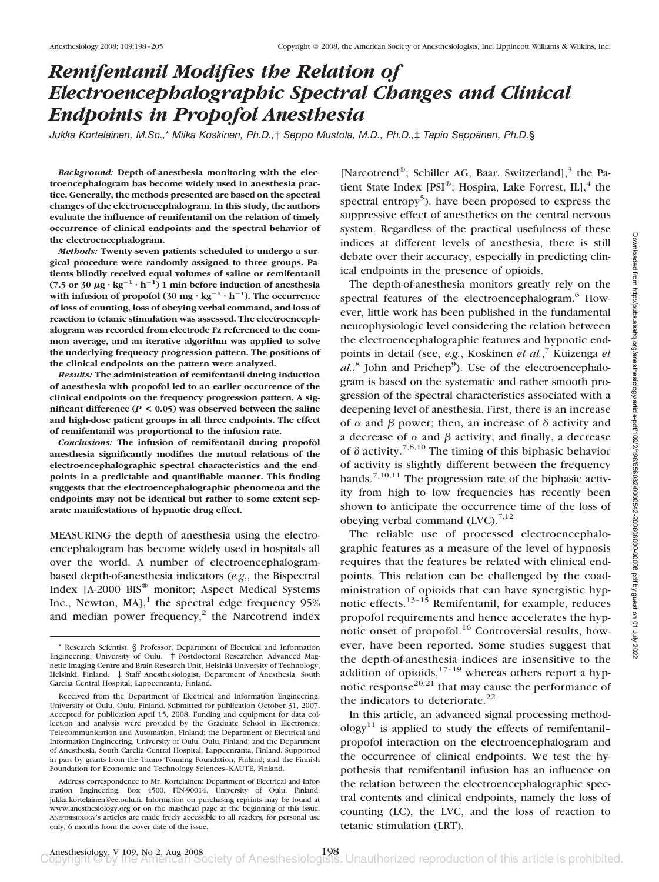# *Remifentanil Modifies the Relation of Electroencephalographic Spectral Changes and Clinical Endpoints in Propofol Anesthesia*

*Jukka Kortelainen, M.Sc.,\* Miika Koskinen, Ph.D.,† Seppo Mustola, M.D., Ph.D.,‡ Tapio Seppänen, Ph.D.§* 

*Background:* **Depth-of-anesthesia monitoring with the electroencephalogram has become widely used in anesthesia practice. Generally, the methods presented are based on the spectral changes of the electroencephalogram. In this study, the authors evaluate the influence of remifentanil on the relation of timely occurrence of clinical endpoints and the spectral behavior of the electroencephalogram.**

*Methods:* **Twenty-seven patients scheduled to undergo a surgical procedure were randomly assigned to three groups. Patients blindly received equal volumes of saline or remifentanil** (7.5 or 30  $\mu$ g ·  $kg^{-1} \cdot h^{-1}$ ) 1 min before induction of anesthesia with infusion of propofol  $(30 \text{ mg} \cdot \text{kg}^{-1} \cdot \text{h}^{-1})$ . The occurrence **of loss of counting, loss of obeying verbal command, and loss of reaction to tetanic stimulation was assessed. The electroencephalogram was recorded from electrode Fz referenced to the common average, and an iterative algorithm was applied to solve the underlying frequency progression pattern. The positions of the clinical endpoints on the pattern were analyzed.**

*Results:* **The administration of remifentanil during induction of anesthesia with propofol led to an earlier occurrence of the clinical endpoints on the frequency progression pattern. A significant difference (***P* **< 0.05) was observed between the saline and high-dose patient groups in all three endpoints. The effect of remifentanil was proportional to the infusion rate.**

*Conclusions:* **The infusion of remifentanil during propofol anesthesia significantly modifies the mutual relations of the electroencephalographic spectral characteristics and the endpoints in a predictable and quantifiable manner. This finding suggests that the electroencephalographic phenomena and the endpoints may not be identical but rather to some extent separate manifestations of hypnotic drug effect.**

MEASURING the depth of anesthesia using the electroencephalogram has become widely used in hospitals all over the world. A number of electroencephalogrambased depth-of-anesthesia indicators (*e.g.*, the Bispectral Index [A-2000 BIS® monitor; Aspect Medical Systems Inc., Newton,  $MA$ ],<sup>1</sup> the spectral edge frequency 95% and median power frequency, $2$  the Narcotrend index [Narcotrend®; Schiller AG, Baar, Switzerland], $3$  the Patient State Index  $[PSI^{\circledast}]$ ; Hospira, Lake Forrest, IL], <sup>4</sup> the spectral entropy<sup>5</sup>), have been proposed to express the suppressive effect of anesthetics on the central nervous system. Regardless of the practical usefulness of these indices at different levels of anesthesia, there is still debate over their accuracy, especially in predicting clinical endpoints in the presence of opioids.

The depth-of-anesthesia monitors greatly rely on the spectral features of the electroencephalogram.<sup>6</sup> However, little work has been published in the fundamental neurophysiologic level considering the relation between the electroencephalographic features and hypnotic endpoints in detail (see, *e.g.*, Koskinen *et al.*, <sup>7</sup> Kuizenga *et* al.,<sup>8</sup> John and Prichep<sup>9</sup>). Use of the electroencephalogram is based on the systematic and rather smooth progression of the spectral characteristics associated with a deepening level of anesthesia. First, there is an increase of  $\alpha$  and  $\beta$  power; then, an increase of  $\delta$  activity and a decrease of  $\alpha$  and  $\beta$  activity; and finally, a decrease of  $\delta$  activity.<sup>7,8,10</sup> The timing of this biphasic behavior of activity is slightly different between the frequency bands.<sup>7,10,11</sup> The progression rate of the biphasic activity from high to low frequencies has recently been shown to anticipate the occurrence time of the loss of obeying verbal command  $(LVC)$ .<sup>7,12</sup>

The reliable use of processed electroencephalographic features as a measure of the level of hypnosis requires that the features be related with clinical endpoints. This relation can be challenged by the coadministration of opioids that can have synergistic hypnotic effects. $13-15$  Remifentanil, for example, reduces propofol requirements and hence accelerates the hypnotic onset of propofol.<sup>16</sup> Controversial results, however, have been reported. Some studies suggest that the depth-of-anesthesia indices are insensitive to the addition of opioids, $17-19$  whereas others report a hypnotic response<sup>20,21</sup> that may cause the performance of the indicators to deteriorate.<sup>22</sup>

In this article, an advanced signal processing method- $\log y^{11}$  is applied to study the effects of remifentanilpropofol interaction on the electroencephalogram and the occurrence of clinical endpoints. We test the hypothesis that remifentanil infusion has an influence on the relation between the electroencephalographic spectral contents and clinical endpoints, namely the loss of counting (LC), the LVC, and the loss of reaction to tetanic stimulation (LRT).

<sup>\*</sup> Research Scientist, § Professor, Department of Electrical and Information Engineering, University of Oulu. † Postdoctoral Researcher, Advanced Magnetic Imaging Centre and Brain Research Unit, Helsinki University of Technology, Helsinki, Finland. ‡ Staff Anesthesiologist, Department of Anesthesia, South Carelia Central Hospital, Lappeenranta, Finland.

Received from the Department of Electrical and Information Engineering, University of Oulu, Oulu, Finland. Submitted for publication October 31, 2007. Accepted for publication April 15, 2008. Funding and equipment for data collection and analysis were provided by the Graduate School in Electronics, Telecommunication and Automation, Finland; the Department of Electrical and Information Engineering, University of Oulu, Oulu, Finland; and the Department of Anesthesia, South Carelia Central Hospital, Lappeenranta, Finland. Supported in part by grants from the Tauno Tönning Foundation, Finland; and the Finnish Foundation for Economic and Technology Sciences–KAUTE, Finland.

Address correspondence to Mr. Kortelainen: Department of Electrical and Information Engineering, Box 4500, FIN-90014, University of Oulu, Finland. jukka.kortelainen@ee.oulu.fi. Information on purchasing reprints may be found at www.anesthesiology.org or on the masthead page at the beginning of this issue. ANESTHESIOLOGY's articles are made freely accessible to all readers, for personal use only, 6 months from the cover date of the issue.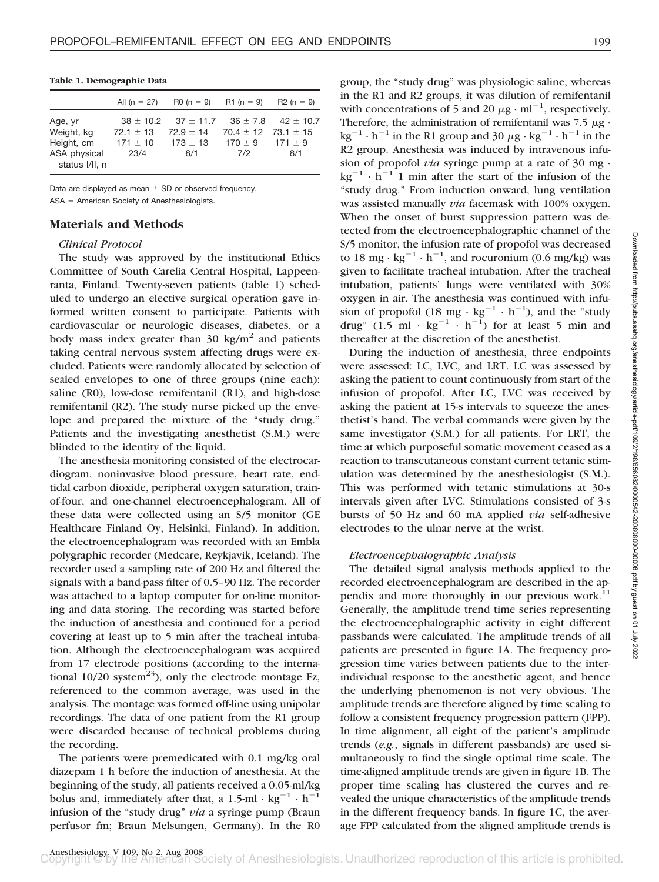**Table 1. Demographic Data**

|                                |                           | All $(n = 27)$ R0 $(n = 9)$ R1 $(n = 9)$ R2 $(n = 9)$                 |                             |     |
|--------------------------------|---------------------------|-----------------------------------------------------------------------|-----------------------------|-----|
| Age, yr                        | $72.1 + 13$               | $38 \pm 10.2$ $37 \pm 11.7$ $36 \pm 7.8$ $42 \pm 10.7$<br>$72.9 + 14$ | $70.4 \pm 12$ $73.1 \pm 15$ |     |
| Weight, kg<br>Height, cm       | $171 \pm 10$ $173 \pm 13$ |                                                                       | $170 \pm 9$ $171 \pm 9$     |     |
| ASA physical<br>status I/II, n | 23/4                      | 8/1                                                                   | 7/2                         | 8/1 |

Data are displayed as mean  $\pm$  SD or observed frequency. ASA - American Society of Anesthesiologists.

## **Materials and Methods**

## *Clinical Protocol*

The study was approved by the institutional Ethics Committee of South Carelia Central Hospital, Lappeenranta, Finland. Twenty-seven patients (table 1) scheduled to undergo an elective surgical operation gave informed written consent to participate. Patients with cardiovascular or neurologic diseases, diabetes, or a body mass index greater than  $30 \text{ kg/m}^2$  and patients taking central nervous system affecting drugs were excluded. Patients were randomly allocated by selection of sealed envelopes to one of three groups (nine each): saline (R0), low-dose remifentanil (R1), and high-dose remifentanil (R2). The study nurse picked up the envelope and prepared the mixture of the "study drug." Patients and the investigating anesthetist (S.M.) were blinded to the identity of the liquid.

The anesthesia monitoring consisted of the electrocardiogram, noninvasive blood pressure, heart rate, endtidal carbon dioxide, peripheral oxygen saturation, trainof-four, and one-channel electroencephalogram. All of these data were collected using an S/5 monitor (GE Healthcare Finland Oy, Helsinki, Finland). In addition, the electroencephalogram was recorded with an Embla polygraphic recorder (Medcare, Reykjavik, Iceland). The recorder used a sampling rate of 200 Hz and filtered the signals with a band-pass filter of 0.5–90 Hz. The recorder was attached to a laptop computer for on-line monitoring and data storing. The recording was started before the induction of anesthesia and continued for a period covering at least up to 5 min after the tracheal intubation. Although the electroencephalogram was acquired from 17 electrode positions (according to the international  $10/20$  system<sup>23</sup>), only the electrode montage Fz, referenced to the common average, was used in the analysis. The montage was formed off-line using unipolar recordings. The data of one patient from the R1 group were discarded because of technical problems during the recording.

The patients were premedicated with 0.1 mg/kg oral diazepam 1 h before the induction of anesthesia. At the beginning of the study, all patients received a 0.05-ml/kg bolus and, immediately after that, a 1.5-ml  $\cdot$  kg<sup>-1</sup>  $\cdot$  h<sup>-1</sup> infusion of the "study drug" *via* a syringe pump (Braun perfusor fm; Braun Melsungen, Germany). In the R0

group, the "study drug" was physiologic saline, whereas in the R1 and R2 groups, it was dilution of remifentanil with concentrations of 5 and 20  $\mu$ g · ml<sup>-1</sup>, respectively. Therefore, the administration of remifentanil was 7.5  $\mu$ g ·  $kg^{-1} \cdot h^{-1}$  in the R1 group and 30  $\mu$ g · kg<sup>-1</sup> · h<sup>-1</sup> in the R2 group. Anesthesia was induced by intravenous infusion of propofol *via* syringe pump at a rate of 30 mg ·  $kg^{-1} \cdot h^{-1}$  1 min after the start of the infusion of the "study drug." From induction onward, lung ventilation was assisted manually *via* facemask with 100% oxygen. When the onset of burst suppression pattern was detected from the electroencephalographic channel of the S/5 monitor, the infusion rate of propofol was decreased to 18 mg  $\cdot$  kg<sup>-1</sup>  $\cdot$  h<sup>-1</sup>, and rocuronium (0.6 mg/kg) was given to facilitate tracheal intubation. After the tracheal intubation, patients' lungs were ventilated with 30% oxygen in air. The anesthesia was continued with infusion of propofol (18 mg  $\cdot$  kg<sup>-1</sup>  $\cdot$  h<sup>-1</sup>), and the "study drug"  $(1.5 \text{ ml} \cdot \text{kg}^{-1} \cdot \text{h}^{-1})$  for at least 5 min and thereafter at the discretion of the anesthetist.

During the induction of anesthesia, three endpoints were assessed: LC, LVC, and LRT. LC was assessed by asking the patient to count continuously from start of the infusion of propofol. After LC, LVC was received by asking the patient at 15-s intervals to squeeze the anesthetist's hand. The verbal commands were given by the same investigator (S.M.) for all patients. For LRT, the time at which purposeful somatic movement ceased as a reaction to transcutaneous constant current tetanic stimulation was determined by the anesthesiologist (S.M.). This was performed with tetanic stimulations at 30-s intervals given after LVC. Stimulations consisted of 3-s bursts of 50 Hz and 60 mA applied *via* self-adhesive electrodes to the ulnar nerve at the wrist.

#### *Electroencephalographic Analysis*

The detailed signal analysis methods applied to the recorded electroencephalogram are described in the appendix and more thoroughly in our previous work.<sup>11</sup> Generally, the amplitude trend time series representing the electroencephalographic activity in eight different passbands were calculated. The amplitude trends of all patients are presented in figure 1A. The frequency progression time varies between patients due to the interindividual response to the anesthetic agent, and hence the underlying phenomenon is not very obvious. The amplitude trends are therefore aligned by time scaling to follow a consistent frequency progression pattern (FPP). In time alignment, all eight of the patient's amplitude trends (*e.g.*, signals in different passbands) are used simultaneously to find the single optimal time scale. The time-aligned amplitude trends are given in figure 1B. The proper time scaling has clustered the curves and revealed the unique characteristics of the amplitude trends in the different frequency bands. In figure 1C, the average FPP calculated from the aligned amplitude trends is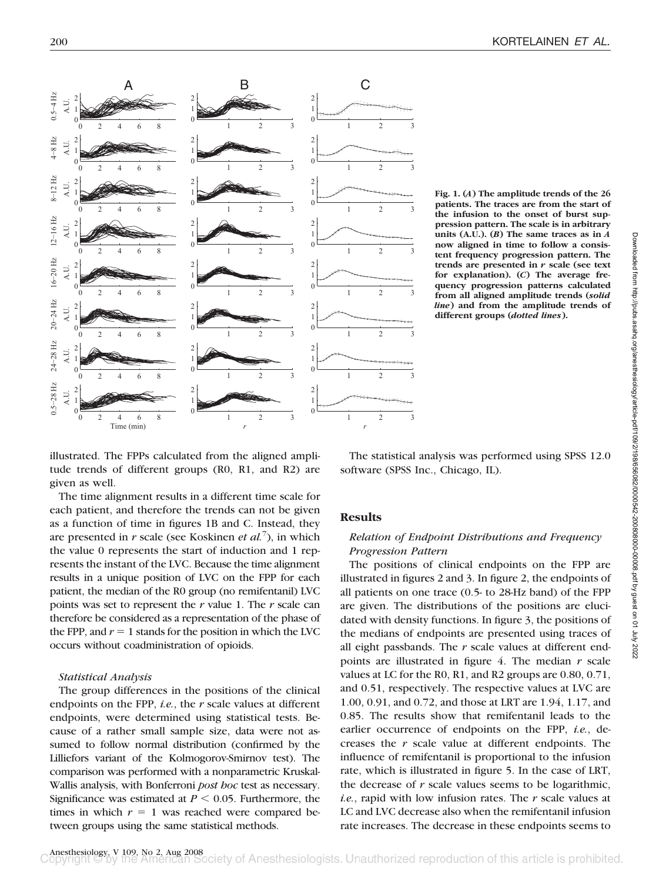

**Fig. 1. (***A***) The amplitude trends of the 26 patients. The traces are from the start of the infusion to the onset of burst suppression pattern. The scale is in arbitrary units (A.U.). (***B***) The same traces as in** *A* **now aligned in time to follow a consistent frequency progression pattern. The trends are presented in** *r* **scale (see text for explanation). (***C***) The average frequency progression patterns calculated from all aligned amplitude trends (***solid line***) and from the amplitude trends of different groups (***dotted lines***).**

illustrated. The FPPs calculated from the aligned amplitude trends of different groups (R0, R1, and R2) are given as well.

The time alignment results in a different time scale for each patient, and therefore the trends can not be given as a function of time in figures 1B and C. Instead, they are presented in *r* scale (see Koskinen *et al.*<sup>7</sup> ), in which the value 0 represents the start of induction and 1 represents the instant of the LVC. Because the time alignment results in a unique position of LVC on the FPP for each patient, the median of the R0 group (no remifentanil) LVC points was set to represent the *r* value 1. The *r* scale can therefore be considered as a representation of the phase of the FPP, and  $r = 1$  stands for the position in which the LVC occurs without coadministration of opioids.

#### *Statistical Analysis*

The group differences in the positions of the clinical endpoints on the FPP, *i.e.*, the *r* scale values at different endpoints, were determined using statistical tests. Because of a rather small sample size, data were not assumed to follow normal distribution (confirmed by the Lilliefors variant of the Kolmogorov-Smirnov test). The comparison was performed with a nonparametric Kruskal-Wallis analysis, with Bonferroni *post hoc* test as necessary. Significance was estimated at  $P \leq 0.05$ . Furthermore, the times in which  $r = 1$  was reached were compared between groups using the same statistical methods.

The statistical analysis was performed using SPSS 12.0 software (SPSS Inc., Chicago, IL).

#### **Results**

## *Relation of Endpoint Distributions and Frequency Progression Pattern*

The positions of clinical endpoints on the FPP are illustrated in figures 2 and 3. In figure 2, the endpoints of all patients on one trace (0.5- to 28-Hz band) of the FPP are given. The distributions of the positions are elucidated with density functions. In figure 3, the positions of the medians of endpoints are presented using traces of all eight passbands. The *r* scale values at different endpoints are illustrated in figure 4. The median *r* scale values at LC for the R0, R1, and R2 groups are 0.80, 0.71, and 0.51, respectively. The respective values at LVC are 1.00, 0.91, and 0.72, and those at LRT are 1.94, 1.17, and 0.85. The results show that remifentanil leads to the earlier occurrence of endpoints on the FPP, *i.e.*, decreases the *r* scale value at different endpoints. The influence of remifentanil is proportional to the infusion rate, which is illustrated in figure 5. In the case of LRT, the decrease of *r* scale values seems to be logarithmic, *i.e.*, rapid with low infusion rates. The *r* scale values at LC and LVC decrease also when the remifentanil infusion rate increases. The decrease in these endpoints seems to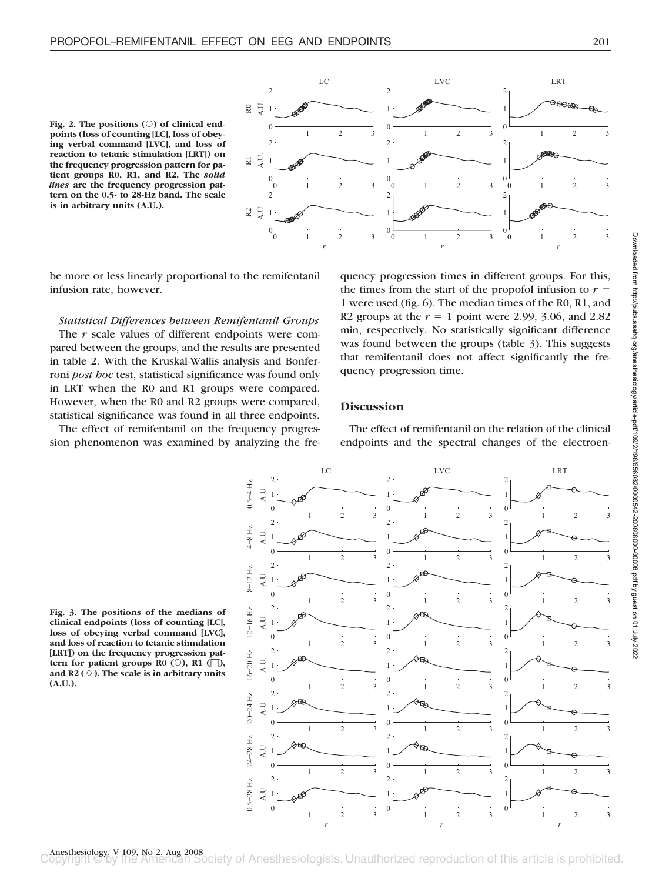



be more or less linearly proportional to the remifentanil infusion rate, however.

## *Statistical Differences between Remifentanil Groups*

The *r* scale values of different endpoints were compared between the groups, and the results are presented in table 2. With the Kruskal-Wallis analysis and Bonferroni *post hoc* test, statistical significance was found only in LRT when the R0 and R1 groups were compared. However, when the R0 and R2 groups were compared, statistical significance was found in all three endpoints.

The effect of remifentanil on the frequency progression phenomenon was examined by analyzing the frequency progression times in different groups. For this, the times from the start of the propofol infusion to  $r =$ 1 were used (fig. 6). The median times of the R0, R1, and R2 groups at the  $r = 1$  point were 2.99, 3.06, and 2.82 min, respectively. No statistically significant difference was found between the groups (table 3). This suggests that remifentanil does not affect significantly the frequency progression time.

## **Discussion**

The effect of remifentanil on the relation of the clinical endpoints and the spectral changes of the electroen-

**Fig. 3. The positions of the medians of clinical endpoints (loss of counting [LC], loss of obeying verbal command [LVC], and loss of reaction to tetanic stimulation [LRT]) on the frequency progression pattern for patient groups R0 (** $\circ$ **), R1 (** $\sqcap$ **), and R2 (**-**). The scale is in arbitrary units (A.U.).**

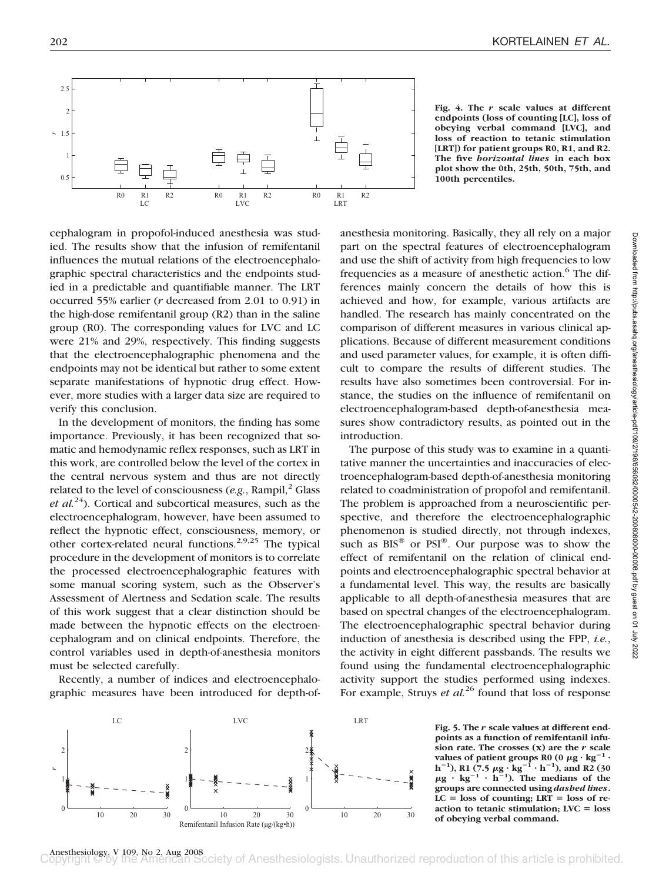

**Fig. 4. The** *r* **scale values at different endpoints (loss of counting [LC], loss of obeying verbal command [LVC], and loss of reaction to tetanic stimulation [LRT]) for patient groups R0, R1, and R2. The five** *horizontal lines* **in each box plot show the 0th, 25th, 50th, 75th, and 100th percentiles.**

cephalogram in propofol-induced anesthesia was studied. The results show that the infusion of remifentanil influences the mutual relations of the electroencephalographic spectral characteristics and the endpoints studied in a predictable and quantifiable manner. The LRT occurred 55% earlier (*r* decreased from 2.01 to 0.91) in the high-dose remifentanil group (R2) than in the saline group (R0). The corresponding values for LVC and LC were 21% and 29%, respectively. This finding suggests that the electroencephalographic phenomena and the endpoints may not be identical but rather to some extent separate manifestations of hypnotic drug effect. However, more studies with a larger data size are required to verify this conclusion.

In the development of monitors, the finding has some importance. Previously, it has been recognized that somatic and hemodynamic reflex responses, such as LRT in this work, are controlled below the level of the cortex in the central nervous system and thus are not directly related to the level of consciousness  $(e.g., Rampi)<sup>2</sup> Glass$ *et al.*24). Cortical and subcortical measures, such as the electroencephalogram, however, have been assumed to reflect the hypnotic effect, consciousness, memory, or other cortex-related neural functions.<sup>2,9,25</sup> The typical procedure in the development of monitors is to correlate the processed electroencephalographic features with some manual scoring system, such as the Observer's Assessment of Alertness and Sedation scale. The results of this work suggest that a clear distinction should be made between the hypnotic effects on the electroencephalogram and on clinical endpoints. Therefore, the control variables used in depth-of-anesthesia monitors must be selected carefully.

Recently, a number of indices and electroencephalographic measures have been introduced for depth-ofanesthesia monitoring. Basically, they all rely on a major part on the spectral features of electroencephalogram and use the shift of activity from high frequencies to low frequencies as a measure of anesthetic action.<sup>6</sup> The differences mainly concern the details of how this is achieved and how, for example, various artifacts are handled. The research has mainly concentrated on the comparison of different measures in various clinical applications. Because of different measurement conditions and used parameter values, for example, it is often difficult to compare the results of different studies. The results have also sometimes been controversial. For instance, the studies on the influence of remifentanil on electroencephalogram-based depth-of-anesthesia measures show contradictory results, as pointed out in the introduction.

The purpose of this study was to examine in a quantitative manner the uncertainties and inaccuracies of electroencephalogram-based depth-of-anesthesia monitoring related to coadministration of propofol and remifentanil. The problem is approached from a neuroscientific perspective, and therefore the electroencephalographic phenomenon is studied directly, not through indexes, such as  $BIS^{\circledast}$  or  $PSI^{\circledast}$ . Our purpose was to show the effect of remifentanil on the relation of clinical endpoints and electroencephalographic spectral behavior at a fundamental level. This way, the results are basically applicable to all depth-of-anesthesia measures that are based on spectral changes of the electroencephalogram. The electroencephalographic spectral behavior during induction of anesthesia is described using the FPP, *i.e.*, the activity in eight different passbands. The results we found using the fundamental electroencephalographic activity support the studies performed using indexes. For example, Struys *et al.*<sup>26</sup> found that loss of response



**Fig. 5. The** *r* **scale values at different endpoints as a function of remifentanil infusion rate. The crosses (x) are the** *r* **scale v**alues of patient groups R0 (0  $\mu$ g  $\cdot$  kg $^{-1}$   $\cdot$ **h**<sup>-1</sup>), R1 (7.5  $\mu$ g · kg<sup>-1</sup> · h<sup>-1</sup>), and R2 (30<br> $\mu$ g · kg<sup>-1</sup> · h<sup>-1</sup>). The medians of the **groups are connected using** *dashed lines***.**  $LC = loss of counting; LRT = loss of re$ **action to tetanic stimulation; LVC loss of obeying verbal command.**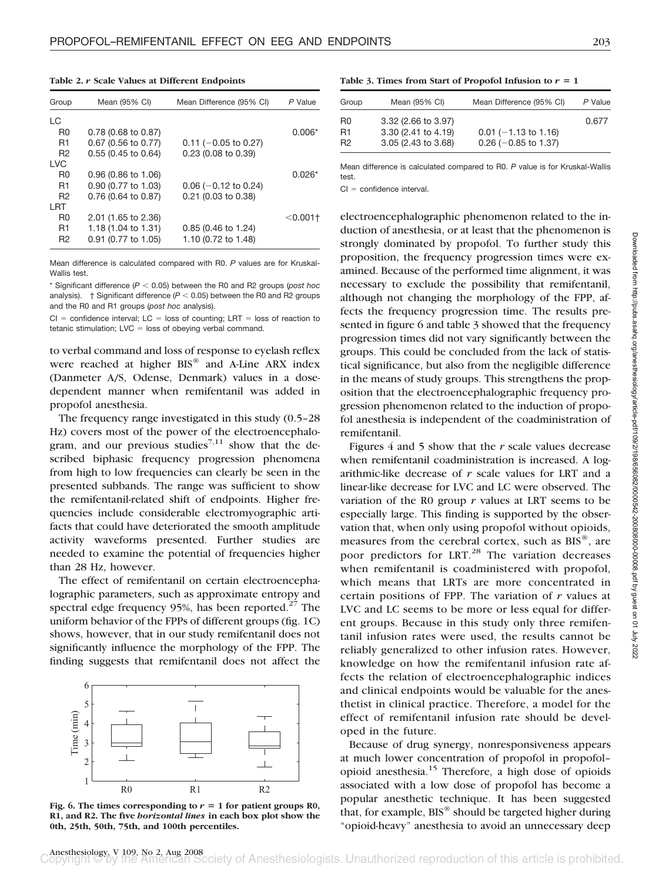**Table 2.** *r* **Scale Values at Different Endpoints**

| Group          | Mean (95% CI)          | Mean Difference (95% CI) | P Value    |
|----------------|------------------------|--------------------------|------------|
| LC             |                        |                          |            |
| R <sub>0</sub> | $0.78$ (0.68 to 0.87)  |                          | $0.006*$   |
| R <sub>1</sub> | 0.67 (0.56 to 0.77)    | $0.11$ (-0.05 to 0.27)   |            |
| R <sub>2</sub> | $0.55(0.45)$ to $0.64$ | 0.23 (0.08 to 0.39)      |            |
| <b>LVC</b>     |                        |                          |            |
| R <sub>0</sub> | 0.96 (0.86 to 1.06)    |                          | $0.026*$   |
| R1             | 0.90 (0.77 to 1.03)    | $0.06$ (-0.12 to 0.24)   |            |
| R <sub>2</sub> | 0.76 (0.64 to 0.87)    | 0.21 (0.03 to 0.38)      |            |
| I RT           |                        |                          |            |
| R <sub>0</sub> | 2.01 (1.65 to 2.36)    |                          | $<$ 0.001+ |
| R1             | 1.18 (1.04 to 1.31)    | 0.85 (0.46 to 1.24)      |            |
| R <sub>2</sub> | 0.91 (0.77 to 1.05)    | 1.10 (0.72 to 1.48)      |            |

Mean difference is calculated compared with R0. *P* values are for Kruskal-Wallis test.

\* Significant difference  $(P < 0.05)$  between the R0 and R2 groups (*post hoc* analysis).  $\uparrow$  Significant difference ( $P < 0.05$ ) between the R0 and R2 groups and the R0 and R1 groups (*post hoc* analysis).

 $Cl =$  confidence interval;  $LC =$  loss of counting; LRT = loss of reaction to tetanic stimulation; LVC = loss of obeying verbal command.

to verbal command and loss of response to eyelash reflex were reached at higher BIS® and A-Line ARX index (Danmeter A/S, Odense, Denmark) values in a dosedependent manner when remifentanil was added in propofol anesthesia.

The frequency range investigated in this study (0.5–28 Hz) covers most of the power of the electroencephalogram, and our previous studies<sup>7,11</sup> show that the described biphasic frequency progression phenomena from high to low frequencies can clearly be seen in the presented subbands. The range was sufficient to show the remifentanil-related shift of endpoints. Higher frequencies include considerable electromyographic artifacts that could have deteriorated the smooth amplitude activity waveforms presented. Further studies are needed to examine the potential of frequencies higher than 28 Hz, however.

The effect of remifentanil on certain electroencephalographic parameters, such as approximate entropy and spectral edge frequency 95%, has been reported. $27$  The uniform behavior of the FPPs of different groups (fig. 1C) shows, however, that in our study remifentanil does not significantly influence the morphology of the FPP. The finding suggests that remifentanil does not affect the



Fig. 6. The times corresponding to  $r = 1$  for patient groups R0, **R1, and R2. The five** *horizontal lines* **in each box plot show the 0th, 25th, 50th, 75th, and 100th percentiles.**

Table 3. Times from Start of Propofol Infusion to  $r = 1$ 

| Group          | Mean (95% CI)                                                     | Mean Difference (95% CI)                         | P Value |
|----------------|-------------------------------------------------------------------|--------------------------------------------------|---------|
| R0<br>R1<br>R2 | 3.32 (2.66 to 3.97)<br>3.30 (2.41 to 4.19)<br>3.05 (2.43 to 3.68) | $0.01$ (-1.13 to 1.16)<br>$0.26$ (-0.85 to 1.37) | 0.677   |
|                |                                                                   |                                                  |         |

Mean difference is calculated compared to R0. *P* value is for Kruskal-Wallis test.

 $CI =$  confidence interval.

electroencephalographic phenomenon related to the induction of anesthesia, or at least that the phenomenon is strongly dominated by propofol. To further study this proposition, the frequency progression times were examined. Because of the performed time alignment, it was necessary to exclude the possibility that remifentanil, although not changing the morphology of the FPP, affects the frequency progression time. The results presented in figure 6 and table 3 showed that the frequency progression times did not vary significantly between the groups. This could be concluded from the lack of statistical significance, but also from the negligible difference in the means of study groups. This strengthens the proposition that the electroencephalographic frequency progression phenomenon related to the induction of propofol anesthesia is independent of the coadministration of remifentanil.

Figures 4 and 5 show that the *r* scale values decrease when remifentanil coadministration is increased. A logarithmic-like decrease of *r* scale values for LRT and a linear-like decrease for LVC and LC were observed. The variation of the R0 group *r* values at LRT seems to be especially large. This finding is supported by the observation that, when only using propofol without opioids, measures from the cerebral cortex, such as  $BIS^{\circledast}$ , are poor predictors for LRT.<sup>28</sup> The variation decreases when remifentanil is coadministered with propofol, which means that LRTs are more concentrated in certain positions of FPP. The variation of *r* values at LVC and LC seems to be more or less equal for different groups. Because in this study only three remifentanil infusion rates were used, the results cannot be reliably generalized to other infusion rates. However, knowledge on how the remifentanil infusion rate affects the relation of electroencephalographic indices and clinical endpoints would be valuable for the anesthetist in clinical practice. Therefore, a model for the effect of remifentanil infusion rate should be developed in the future.

Because of drug synergy, nonresponsiveness appears at much lower concentration of propofol in propofol– opioid anesthesia.15 Therefore, a high dose of opioids associated with a low dose of propofol has become a popular anesthetic technique. It has been suggested that, for example, BIS® should be targeted higher during "opioid-heavy" anesthesia to avoid an unnecessary deep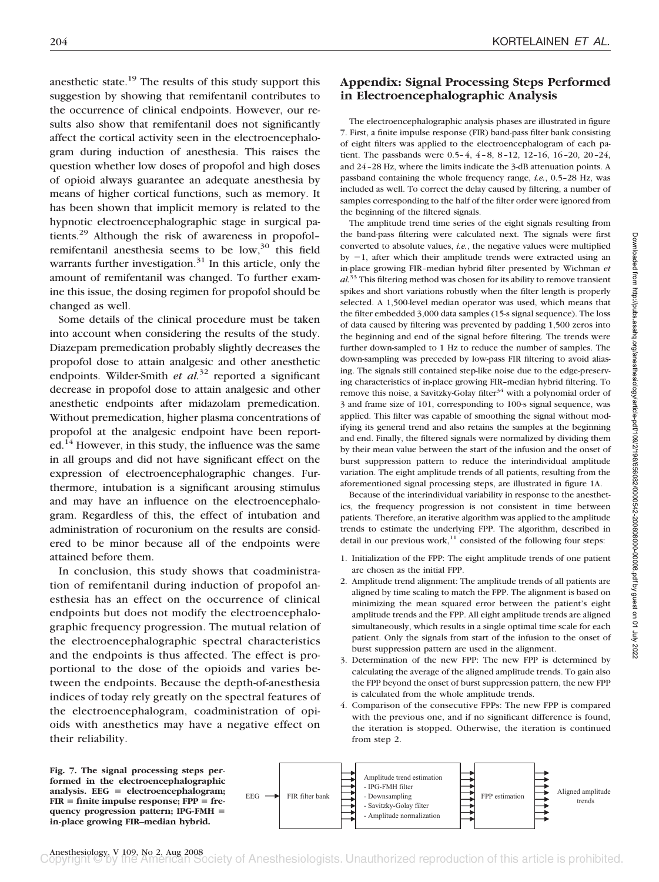anesthetic state.<sup>19</sup> The results of this study support this suggestion by showing that remifentanil contributes to the occurrence of clinical endpoints. However, our results also show that remifentanil does not significantly affect the cortical activity seen in the electroencephalogram during induction of anesthesia. This raises the question whether low doses of propofol and high doses of opioid always guarantee an adequate anesthesia by means of higher cortical functions, such as memory. It has been shown that implicit memory is related to the hypnotic electroencephalographic stage in surgical patients.29 Although the risk of awareness in propofol– remifentanil anesthesia seems to be  $low,30$  this field warrants further investigation. $31$  In this article, only the amount of remifentanil was changed. To further examine this issue, the dosing regimen for propofol should be changed as well.

Some details of the clinical procedure must be taken into account when considering the results of the study. Diazepam premedication probably slightly decreases the propofol dose to attain analgesic and other anesthetic endpoints. Wilder-Smith *et al.*<sup>32</sup> reported a significant decrease in propofol dose to attain analgesic and other anesthetic endpoints after midazolam premedication. Without premedication, higher plasma concentrations of propofol at the analgesic endpoint have been reported.<sup>14</sup> However, in this study, the influence was the same in all groups and did not have significant effect on the expression of electroencephalographic changes. Furthermore, intubation is a significant arousing stimulus and may have an influence on the electroencephalogram. Regardless of this, the effect of intubation and administration of rocuronium on the results are considered to be minor because all of the endpoints were attained before them.

In conclusion, this study shows that coadministration of remifentanil during induction of propofol anesthesia has an effect on the occurrence of clinical endpoints but does not modify the electroencephalographic frequency progression. The mutual relation of the electroencephalographic spectral characteristics and the endpoints is thus affected. The effect is proportional to the dose of the opioids and varies between the endpoints. Because the depth-of-anesthesia indices of today rely greatly on the spectral features of the electroencephalogram, coadministration of opioids with anesthetics may have a negative effect on their reliability.

# **Appendix: Signal Processing Steps Performed in Electroencephalographic Analysis**

The electroencephalographic analysis phases are illustrated in figure 7. First, a finite impulse response (FIR) band-pass filter bank consisting of eight filters was applied to the electroencephalogram of each patient. The passbands were 0.5–4, 4–8, 8–12, 12–16, 16–20, 20–24, and 24–28 Hz, where the limits indicate the 3-dB attenuation points. A passband containing the whole frequency range, *i.e.*, 0.5–28 Hz, was included as well. To correct the delay caused by filtering, a number of samples corresponding to the half of the filter order were ignored from the beginning of the filtered signals.

The amplitude trend time series of the eight signals resulting from the band-pass filtering were calculated next. The signals were first converted to absolute values, *i.e.*, the negative values were multiplied by  $-1$ , after which their amplitude trends were extracted using an in-place growing FIR–median hybrid filter presented by Wichman *et al.*<sup>33</sup> This filtering method was chosen for its ability to remove transient spikes and short variations robustly when the filter length is properly selected. A 1,500-level median operator was used, which means that the filter embedded 3,000 data samples (15-s signal sequence). The loss of data caused by filtering was prevented by padding 1,500 zeros into the beginning and end of the signal before filtering. The trends were further down-sampled to 1 Hz to reduce the number of samples. The down-sampling was preceded by low-pass FIR filtering to avoid aliasing. The signals still contained step-like noise due to the edge-preserving characteristics of in-place growing FIR–median hybrid filtering. To remove this noise, a Savitzky-Golay filter<sup>34</sup> with a polynomial order of 3 and frame size of 101, corresponding to 100-s signal sequence, was applied. This filter was capable of smoothing the signal without modifying its general trend and also retains the samples at the beginning and end. Finally, the filtered signals were normalized by dividing them by their mean value between the start of the infusion and the onset of burst suppression pattern to reduce the interindividual amplitude variation. The eight amplitude trends of all patients, resulting from the aforementioned signal processing steps, are illustrated in figure 1A.

Because of the interindividual variability in response to the anesthetics, the frequency progression is not consistent in time between patients. Therefore, an iterative algorithm was applied to the amplitude trends to estimate the underlying FPP. The algorithm, described in detail in our previous work, $11$  consisted of the following four steps:

- 1. Initialization of the FPP: The eight amplitude trends of one patient are chosen as the initial FPP.
- 2. Amplitude trend alignment: The amplitude trends of all patients are aligned by time scaling to match the FPP. The alignment is based on minimizing the mean squared error between the patient's eight amplitude trends and the FPP. All eight amplitude trends are aligned simultaneously, which results in a single optimal time scale for each patient. Only the signals from start of the infusion to the onset of burst suppression pattern are used in the alignment.
- 3. Determination of the new FPP: The new FPP is determined by calculating the average of the aligned amplitude trends. To gain also the FPP beyond the onset of burst suppression pattern, the new FPP is calculated from the whole amplitude trends.
- 4. Comparison of the consecutive FPPs: The new FPP is compared with the previous one, and if no significant difference is found, the iteration is stopped. Otherwise, the iteration is continued from step 2.



**Fig. 7. The signal processing steps performed in the electroencephalographic analysis. EEG electroencephalogram; FIR finite impulse response; FPP frequency progression pattern; IPG-FMH in-place growing FIR–median hybrid.**